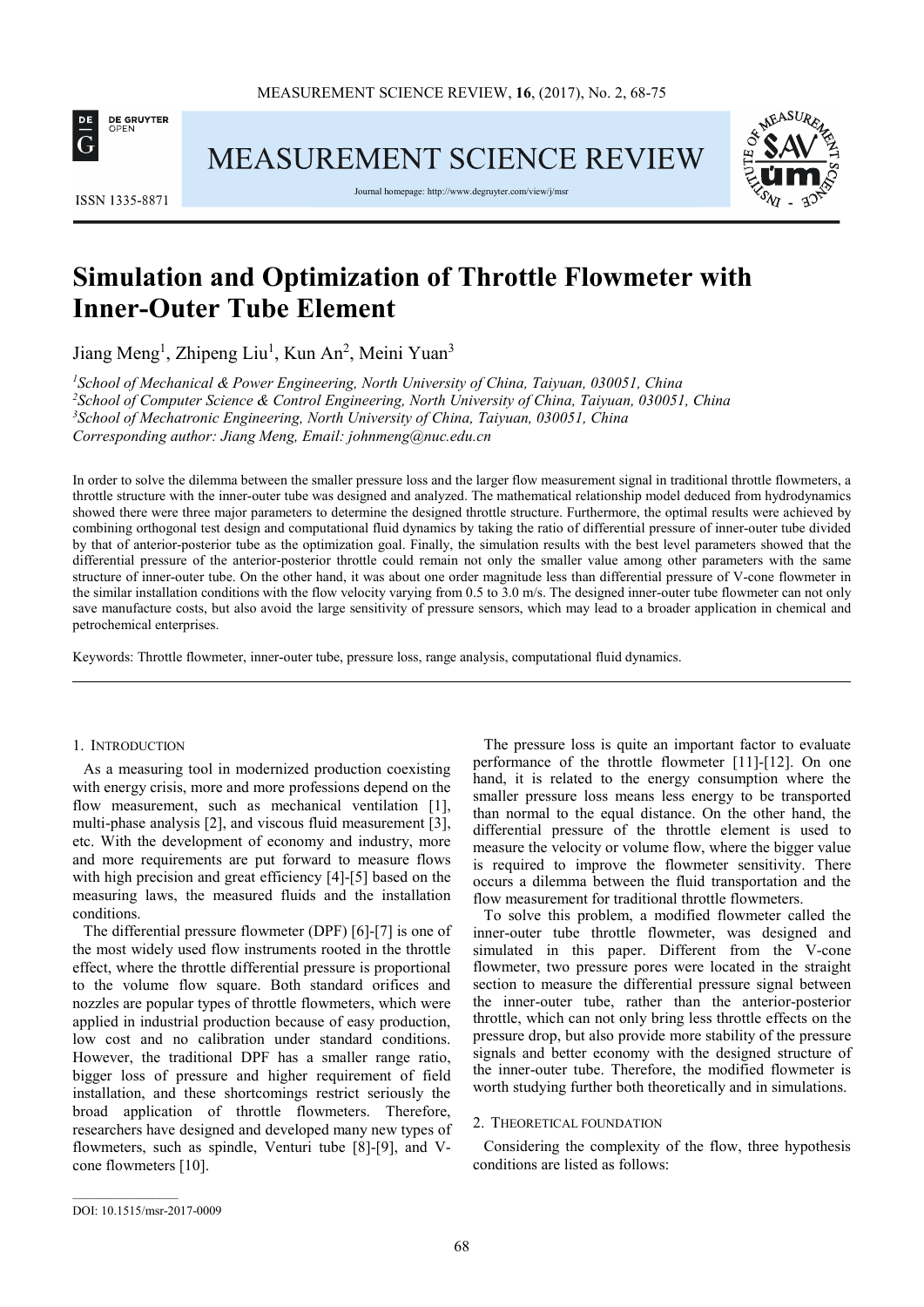

MEASUREMENT SCIENCE REVIEW



Journal homepage: http://www.degruyter.com/view/j/msr



# **Simulation and Optimization of Throttle Flowmeter with Inner-Outer Tube Element**

Jiang Meng<sup>1</sup>, Zhipeng Liu<sup>1</sup>, Kun An<sup>2</sup>, Meini Yuan<sup>3</sup>

*School of Mechanical & Power Engineering, North University of China, Taiyuan, 030051, China School of Computer Science & Control Engineering, North University of China, Taiyuan, 030051, China School of Mechatronic Engineering, North University of China, Taiyuan, 030051, China Corresponding author: Jiang Meng, Email: johnmeng@nuc.edu.cn* 

In order to solve the dilemma between the smaller pressure loss and the larger flow measurement signal in traditional throttle flowmeters, a throttle structure with the inner-outer tube was designed and analyzed. The mathematical relationship model deduced from hydrodynamics showed there were three major parameters to determine the designed throttle structure. Furthermore, the optimal results were achieved by combining orthogonal test design and computational fluid dynamics by taking the ratio of differential pressure of inner-outer tube divided by that of anterior-posterior tube as the optimization goal. Finally, the simulation results with the best level parameters showed that the differential pressure of the anterior-posterior throttle could remain not only the smaller value among other parameters with the same structure of inner-outer tube. On the other hand, it was about one order magnitude less than differential pressure of V-cone flowmeter in the similar installation conditions with the flow velocity varying from 0.5 to 3.0 m/s. The designed inner-outer tube flowmeter can not only save manufacture costs, but also avoid the large sensitivity of pressure sensors, which may lead to a broader application in chemical and petrochemical enterprises.

Keywords: Throttle flowmeter, inner-outer tube, pressure loss, range analysis, computational fluid dynamics.

## 1. INTRODUCTION

As a measuring tool in modernized production coexisting with energy crisis, more and more professions depend on the flow measurement, such as mechanical ventilation [1], multi-phase analysis [2], and viscous fluid measurement [3], etc. With the development of economy and industry, more and more requirements are put forward to measure flows with high precision and great efficiency [4]-[5] based on the measuring laws, the measured fluids and the installation conditions.

The differential pressure flowmeter (DPF) [6]-[7] is one of the most widely used flow instruments rooted in the throttle effect, where the throttle differential pressure is proportional to the volume flow square. Both standard orifices and nozzles are popular types of throttle flowmeters, which were applied in industrial production because of easy production, low cost and no calibration under standard conditions. However, the traditional DPF has a smaller range ratio, bigger loss of pressure and higher requirement of field installation, and these shortcomings restrict seriously the broad application of throttle flowmeters. Therefore, researchers have designed and developed many new types of flowmeters, such as spindle, Venturi tube [8]-[9], and Vcone flowmeters [10].

The pressure loss is quite an important factor to evaluate performance of the throttle flowmeter [11]-[12]. On one hand, it is related to the energy consumption where the smaller pressure loss means less energy to be transported than normal to the equal distance. On the other hand, the differential pressure of the throttle element is used to measure the velocity or volume flow, where the bigger value is required to improve the flowmeter sensitivity. There occurs a dilemma between the fluid transportation and the flow measurement for traditional throttle flowmeters.

To solve this problem, a modified flowmeter called the inner-outer tube throttle flowmeter, was designed and simulated in this paper. Different from the V-cone flowmeter, two pressure pores were located in the straight section to measure the differential pressure signal between the inner-outer tube, rather than the anterior-posterior throttle, which can not only bring less throttle effects on the pressure drop, but also provide more stability of the pressure signals and better economy with the designed structure of the inner-outer tube. Therefore, the modified flowmeter is worth studying further both theoretically and in simulations.

## 2. THEORETICAL FOUNDATION

Considering the complexity of the flow, three hypothesis conditions are listed as follows:

 $\overline{\phantom{a}}$  ,  $\overline{\phantom{a}}$  ,  $\overline{\phantom{a}}$  ,  $\overline{\phantom{a}}$  ,  $\overline{\phantom{a}}$  ,  $\overline{\phantom{a}}$  ,  $\overline{\phantom{a}}$  ,  $\overline{\phantom{a}}$  ,  $\overline{\phantom{a}}$  ,  $\overline{\phantom{a}}$  ,  $\overline{\phantom{a}}$  ,  $\overline{\phantom{a}}$  ,  $\overline{\phantom{a}}$  ,  $\overline{\phantom{a}}$  ,  $\overline{\phantom{a}}$  ,  $\overline{\phantom{a}}$ 

DOI: 10.1515/msr-2017-0009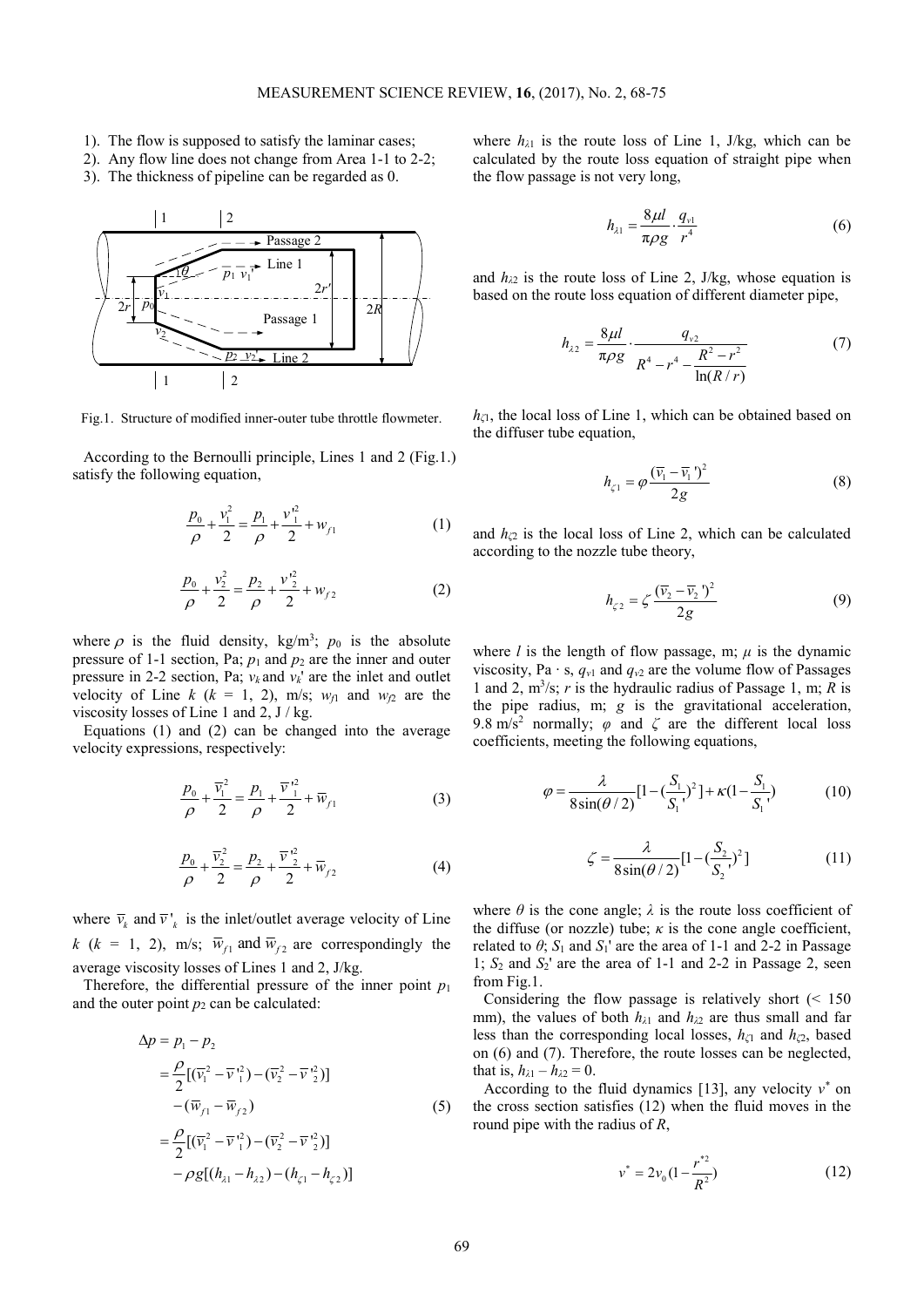- 1). The flow is supposed to satisfy the laminar cases;
- 2). Any flow line does not change from Area 1-1 to 2-2;
- 3). The thickness of pipeline can be regarded as 0.



Fig.1. Structure of modified inner-outer tube throttle flowmeter.

According to the Bernoulli principle, Lines 1 and 2 (Fig.1.) satisfy the following equation,

$$
\frac{p_0}{\rho} + \frac{v_1^2}{2} = \frac{p_1}{\rho} + \frac{v_1^2}{2} + w_{f1}
$$
 (1)

$$
\frac{p_0}{\rho} + \frac{v_2^2}{2} = \frac{p_2}{\rho} + \frac{v_2^2}{2} + w_{f2}
$$
 (2)

where  $\rho$  is the fluid density, kg/m<sup>3</sup>;  $p_0$  is the absolute pressure of 1-1 section, Pa; *p*1 and *p*2 are the inner and outer pressure in 2-2 section, Pa;  $v_k$  and  $v_k$ ' are the inlet and outlet velocity of Line  $k$  ( $k = 1, 2$ ), m/s;  $w_{f1}$  and  $w_{f2}$  are the viscosity losses of Line 1 and 2, J / kg.

Equations (1) and (2) can be changed into the average velocity expressions, respectively:

$$
\frac{p_0}{\rho} + \frac{\overline{v}_1^2}{2} = \frac{p_1}{\rho} + \frac{\overline{v}_1^2}{2} + \overline{w}_{f1}
$$
 (3)

$$
\frac{p_0}{\rho} + \frac{\overline{v}_2^2}{2} = \frac{p_2}{\rho} + \frac{\overline{v}_2^2}{2} + \overline{w}_{f2}
$$
 (4)

where  $\overline{v}_k$  and  $\overline{v}_k$  is the inlet/outlet average velocity of Line *k* ( $k = 1, 2$ ), m/s;  $\overline{w}_{f1}$  and  $\overline{w}_{f2}$  are correspondingly the average viscosity losses of Lines 1 and 2, J/kg.

Therefore, the differential pressure of the inner point  $p_1$ and the outer point  $p_2$  can be calculated:

$$
\Delta p = p_1 - p_2
$$
  
=  $\frac{\rho}{2} [(\bar{v}_1^2 - \bar{v}_1^2) - (\bar{v}_2^2 - \bar{v}_2^2)]$   
-  $(\bar{w}_{f1} - \bar{w}_{f2})$  (5)  
=  $\frac{\rho}{2} [(\bar{v}_1^2 - \bar{v}_1^2) - (\bar{v}_2^2 - \bar{v}_2^2)]$   
-  $\rho g [(h_{\lambda 1} - h_{\lambda 2}) - (h_{\zeta 1} - h_{\zeta 2})]$ 

where  $h_{\lambda 1}$  is the route loss of Line 1, J/kg, which can be calculated by the route loss equation of straight pipe when the flow passage is not very long,

$$
h_{\lambda 1} = \frac{8\mu l}{\pi \rho g} \cdot \frac{q_{\nu 1}}{r^4} \tag{6}
$$

and  $h_{\lambda 2}$  is the route loss of Line 2, J/kg, whose equation is based on the route loss equation of different diameter pipe,

$$
h_{\lambda 2} = \frac{8\mu l}{\pi \rho g} \cdot \frac{q_{\nu 2}}{R^4 - r^4 - \frac{R^2 - r^2}{\ln(R/r)}}
$$
(7)

*hζ*1, the local loss of Line 1, which can be obtained based on the diffuser tube equation,

$$
h_{\zeta 1} = \varphi \frac{(\overline{v}_1 - \overline{v}_1)^2}{2g} \tag{8}
$$

and  $h_{\zeta}$  is the local loss of Line 2, which can be calculated according to the nozzle tube theory,

$$
h_{\zeta 2} = \zeta \frac{(\overline{v}_2 - \overline{v}_2)^2}{2g} \tag{9}
$$

where *l* is the length of flow passage, m;  $\mu$  is the dynamic viscosity, Pa ⋅ s,  $q_{v1}$  and  $q_{v2}$  are the volume flow of Passages 1 and 2, m<sup>3</sup> /s; *r* is the hydraulic radius of Passage 1, m; *R* is the pipe radius, m; *g* is the gravitational acceleration, 9.8 m/s<sup>2</sup> normally;  $\varphi$  and  $\zeta$  are the different local loss coefficients, meeting the following equations,

$$
\varphi = \frac{\lambda}{8\sin(\theta/2)} [1 - (\frac{S_1}{S_1})^2] + \kappa (1 - \frac{S_1}{S_1})
$$
(10)

$$
\zeta = \frac{\lambda}{8\sin(\theta/2)} [1 - (\frac{S_2}{S_2})^2]
$$
 (11)

where  $\theta$  is the cone angle;  $\lambda$  is the route loss coefficient of the diffuse (or nozzle) tube;  $\kappa$  is the cone angle coefficient, related to  $\theta$ ;  $S_1$  and  $S_1$ ' are the area of 1-1 and 2-2 in Passage 1; *S*2 and *S*2' are the area of 1-1 and 2-2 in Passage 2, seen from Fig.1.

Considering the flow passage is relatively short  $($  < 150 mm), the values of both  $h_{\lambda1}$  and  $h_{\lambda2}$  are thus small and far less than the corresponding local losses, *hζ*1 and *hζ*2, based on (6) and (7). Therefore, the route losses can be neglected, that is,  $h_{\lambda 1} - h_{\lambda 2} = 0$ .

According to the fluid dynamics [13], any velocity  $v^*$  on the cross section satisfies (12) when the fluid moves in the round pipe with the radius of *R*,

$$
v^* = 2v_0 \left(1 - \frac{r^{*2}}{R^2}\right) \tag{12}
$$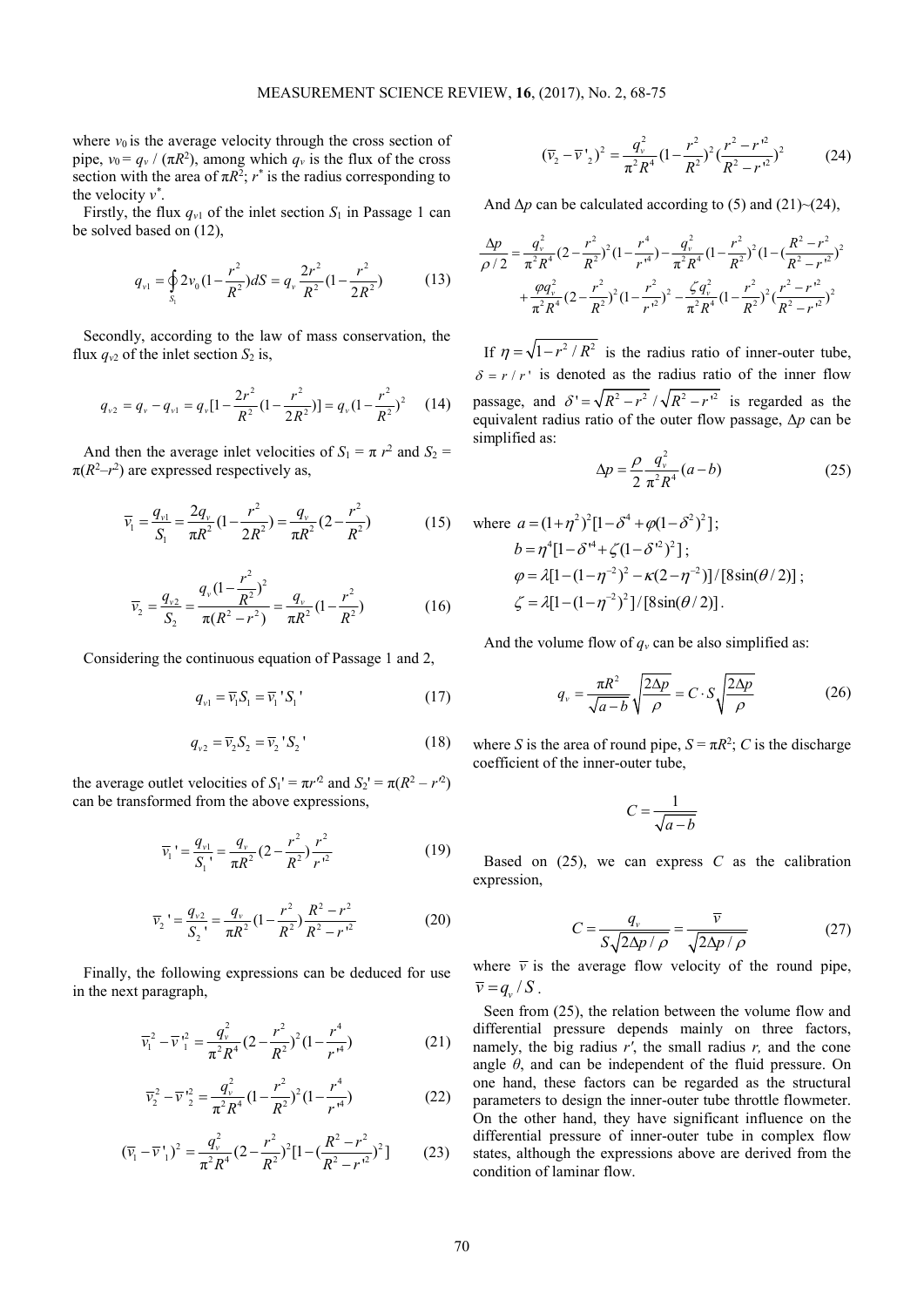where  $v_0$  is the average velocity through the cross section of pipe,  $v_0 = q_v / (\pi R^2)$ , among which  $q_v$  is the flux of the cross section with the area of  $\pi R^2$ ;  $r^*$  is the radius corresponding to the velocity  $v^*$ .

Firstly, the flux  $q_{v1}$  of the inlet section  $S_1$  in Passage 1 can be solved based on (12),

$$
q_{\nu 1} = \oint_{S_1} 2\nu_0 \left(1 - \frac{r^2}{R^2}\right) dS = q_{\nu} \frac{2r^2}{R^2} \left(1 - \frac{r^2}{2R^2}\right) \tag{13}
$$

Secondly, according to the law of mass conservation, the flux  $q_{v2}$  of the inlet section  $S_2$  is,

$$
q_{v2} = q_v - q_{v1} = q_v[1 - \frac{2r^2}{R^2}(1 - \frac{r^2}{2R^2})] = q_v(1 - \frac{r^2}{R^2})^2 \qquad (14)
$$

And then the average inlet velocities of  $S_1 = \pi r^2$  and  $S_2 =$  $\pi(R^2-r^2)$  are expressed respectively as,

$$
\overline{v}_1 = \frac{q_{v1}}{S_1} = \frac{2q_v}{\pi R^2} (1 - \frac{r^2}{2R^2}) = \frac{q_v}{\pi R^2} (2 - \frac{r^2}{R^2})
$$
(15)

$$
\overline{v}_2 = \frac{q_{v2}}{S_2} = \frac{q_v (1 - \frac{r^2}{R^2})^2}{\pi (R^2 - r^2)} = \frac{q_v}{\pi R^2} (1 - \frac{r^2}{R^2})
$$
(16)

Considering the continuous equation of Passage 1 and 2,

$$
q_{v1} = \overline{v}_1 S_1 = \overline{v}_1 S_1 \tag{17}
$$

$$
q_{v2} = \overline{v}_2 S_2 = \overline{v}_2 S_2' \tag{18}
$$

the average outlet velocities of  $S_1' = \pi r'^2$  and  $S_2' = \pi (R^2 - r'^2)$ can be transformed from the above expressions,

$$
\overline{v}_1' = \frac{q_{v1}}{S_1'} = \frac{q_v}{\pi R^2} (2 - \frac{r^2}{R^2}) \frac{r^2}{r^2}
$$
 (19)

$$
\overline{v}_2' = \frac{q_{v2}}{S_2} = \frac{q_v}{\pi R^2} (1 - \frac{r^2}{R^2}) \frac{R^2 - r^2}{R^2 - r^2}
$$
(20)

Finally, the following expressions can be deduced for use in the next paragraph,

$$
\overline{v}_1^2 - \overline{v}_1^2 = \frac{q_v^2}{\pi^2 R^4} (2 - \frac{r^2}{R^2})^2 (1 - \frac{r^4}{r^4})
$$
 (21)

$$
\overline{v}_2^2 - \overline{v}'_2^2 = \frac{q_v^2}{\pi^2 R^4} (1 - \frac{r^2}{R^2})^2 (1 - \frac{r^4}{r^4})
$$
(22)

$$
(\overline{v}_1 - \overline{v'}_1)^2 = \frac{q_v^2}{\pi^2 R^4} (2 - \frac{r^2}{R^2})^2 [1 - (\frac{R^2 - r^2}{R^2 - r^2})^2] \tag{23}
$$

$$
(\overline{v}_2 - \overline{v'}_2)^2 = \frac{q_v^2}{\pi^2 R^4} (1 - \frac{r^2}{R^2})^2 (\frac{r^2 - r'^2}{R^2 - r'^2})^2
$$
 (24)

And  $\Delta p$  can be calculated according to (5) and (21)~(24),

$$
\frac{\Delta p}{\rho/2} = \frac{q_v^2}{\pi^2 R^4} (2 - \frac{r^2}{R^2})^2 (1 - \frac{r^4}{r^4}) - \frac{q_v^2}{\pi^2 R^4} (1 - \frac{r^2}{R^2})^2 (1 - (\frac{R^2 - r^2}{R^2 - r^2})^2 + \frac{\varphi q_v^2}{\pi^2 R^4} (2 - \frac{r^2}{R^2})^2 (1 - \frac{r^2}{r^2})^2 - \frac{\zeta q_v^2}{\pi^2 R^4} (1 - \frac{r^2}{R^2})^2 (\frac{r^2 - r^2}{R^2 - r^2})^2
$$

If  $\eta = \sqrt{1 - r^2 / R^2}$  is the radius ratio of inner-outer tube,  $\delta = r/r'$  is denoted as the radius ratio of the inner flow passage, and  $\delta' = \sqrt{R^2 - r^2} / \sqrt{R^2 - r^2}$  is regarded as the equivalent radius ratio of the outer flow passage, Δ*p* can be simplified as:

$$
\Delta p = \frac{\rho}{2} \frac{q_v^2}{\pi^2 R^4} (a - b)
$$
 (25)

where 
$$
a = (1 + \eta^2)^2 [1 - \delta^4 + \varphi (1 - \delta^2)^2]
$$
;  
\n $b = \eta^4 [1 - \delta^{14} + \zeta (1 - \delta^{12})^2]$ ;  
\n $\varphi = \lambda [1 - (1 - \eta^{-2})^2 - \kappa (2 - \eta^{-2})]/[8\sin(\theta/2)]$ ;  
\n $\zeta = \lambda [1 - (1 - \eta^{-2})^2]/[8\sin(\theta/2)].$ 

And the volume flow of  $q<sub>v</sub>$  can be also simplified as:

$$
q_{\nu} = \frac{\pi R^2}{\sqrt{a - b}} \sqrt{\frac{2\Delta p}{\rho}} = C \cdot S \sqrt{\frac{2\Delta p}{\rho}}
$$
(26)

where *S* is the area of round pipe,  $S = \pi R^2$ ; *C* is the discharge coefficient of the inner-outer tube,

$$
C = \frac{1}{\sqrt{a - b}}
$$

Based on  $(25)$ , we can express  $C$  as the calibration expression,

$$
C = \frac{q_v}{S\sqrt{2\Delta p/\rho}} = \frac{\overline{v}}{\sqrt{2\Delta p/\rho}}
$$
(27)

where  $\bar{v}$  is the average flow velocity of the round pipe,  $\overline{v} = q_v / S$ .

Seen from (25), the relation between the volume flow and differential pressure depends mainly on three factors, namely, the big radius *r'*, the small radius *r,* and the cone angle *θ*, and can be independent of the fluid pressure. On one hand, these factors can be regarded as the structural parameters to design the inner-outer tube throttle flowmeter. On the other hand, they have significant influence on the differential pressure of inner-outer tube in complex flow states, although the expressions above are derived from the condition of laminar flow.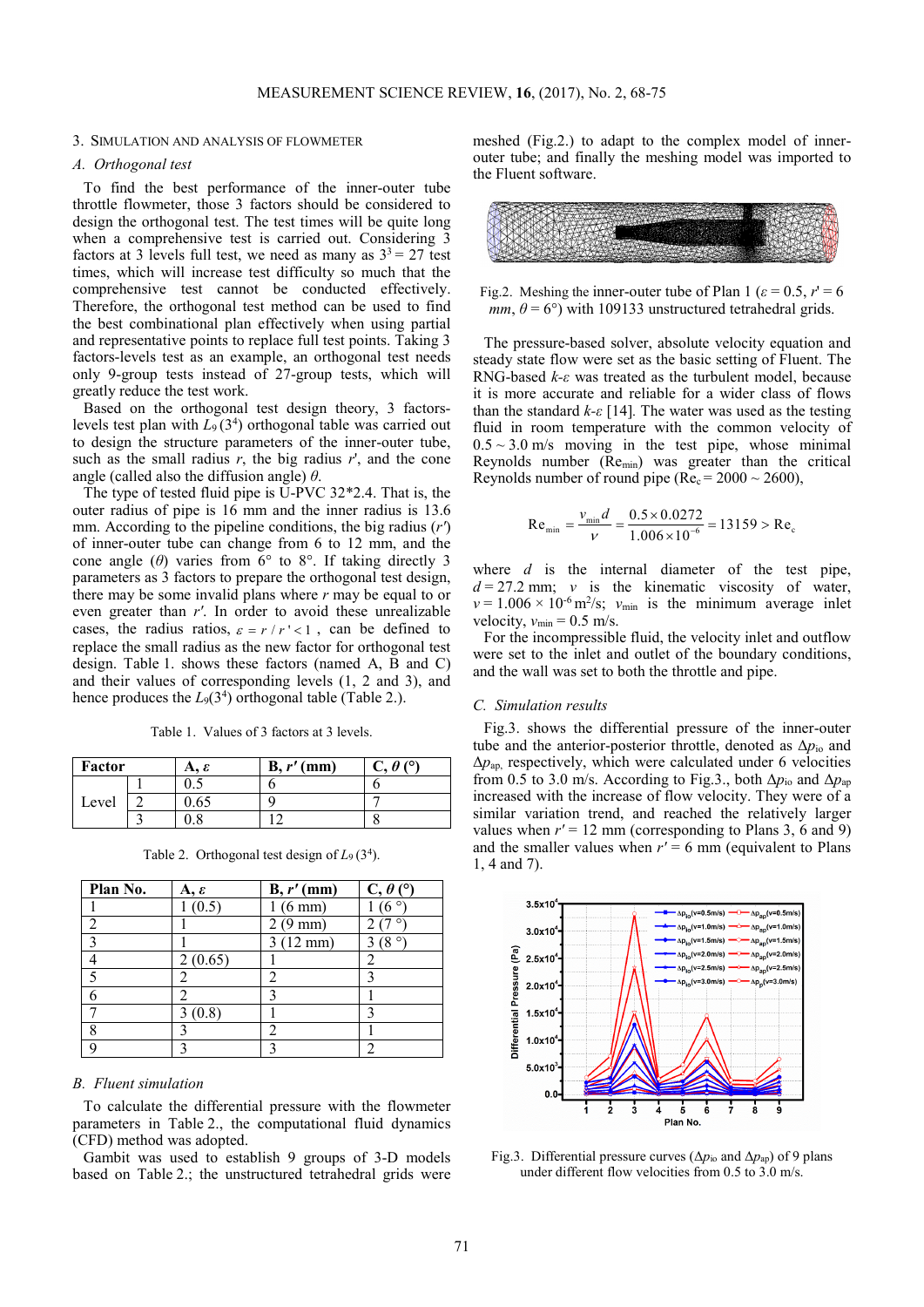### 3. SIMULATION AND ANALYSIS OF FLOWMETER

## *A. Orthogonal test*

To find the best performance of the inner-outer tube throttle flowmeter, those 3 factors should be considered to design the orthogonal test. The test times will be quite long when a comprehensive test is carried out. Considering 3 factors at 3 levels full test, we need as many as  $3^3 = 27$  test times, which will increase test difficulty so much that the comprehensive test cannot be conducted effectively. Therefore, the orthogonal test method can be used to find the best combinational plan effectively when using partial and representative points to replace full test points. Taking 3 factors-levels test as an example, an orthogonal test needs only 9-group tests instead of 27-group tests, which will greatly reduce the test work.

Based on the orthogonal test design theory, 3 factorslevels test plan with  $L_9(3^4)$  orthogonal table was carried out to design the structure parameters of the inner-outer tube, such as the small radius  $r$ , the big radius  $r'$ , and the cone angle (called also the diffusion angle) *θ*.

The type of tested fluid pipe is U-PVC 32\*2.4. That is, the outer radius of pipe is 16 mm and the inner radius is 13.6 mm. According to the pipeline conditions, the big radius (*r'*) of inner-outer tube can change from 6 to 12 mm, and the cone angle  $(\theta)$  varies from 6° to 8°. If taking directly 3 parameters as 3 factors to prepare the orthogonal test design, there may be some invalid plans where *r* may be equal to or even greater than *r'*. In order to avoid these unrealizable cases, the radius ratios,  $\varepsilon = r/r' < 1$ , can be defined to replace the small radius as the new factor for orthogonal test design. Table 1. shows these factors (named A, B and C) and their values of corresponding levels (1, 2 and 3), and hence produces the  $L_9(3^4)$  orthogonal table (Table 2.).

Table 1. Values of 3 factors at 3 levels.

| Factor |  | А. ε           | $B, r'$ (mm) | $\theta$ (°) |
|--------|--|----------------|--------------|--------------|
|        |  | ∪.∪            |              |              |
| Level  |  | 0.65           |              |              |
|        |  | $\circ$<br>U.O |              |              |

Table 2. Orthogonal test design of  $L_9(3^4)$ .

| Plan No. | $A, \varepsilon$ | $B, r'$ (mm)       | $C, \theta$ (°) |
|----------|------------------|--------------------|-----------------|
|          | (0.5)            | $(6 \text{ mm})$   |                 |
|          |                  | $(9 \text{ mm})$   |                 |
|          |                  | $3(12 \text{ mm})$ | ٥<br>8          |
|          | 2(0.65)          |                    |                 |
|          |                  |                    |                 |
|          |                  |                    |                 |
|          | 3(0.8)           |                    |                 |
| Ω        |                  |                    |                 |
|          |                  |                    |                 |

## *B. Fluent simulation*

To calculate the differential pressure with the flowmeter parameters in Table 2., the computational fluid dynamics (CFD) method was adopted.

Gambit was used to establish 9 groups of 3-D models based on Table 2.; the unstructured tetrahedral grids were meshed (Fig.2.) to adapt to the complex model of innerouter tube; and finally the meshing model was imported to the Fluent software.



Fig.2. Meshing the inner-outer tube of Plan 1 ( $\varepsilon = 0.5$ ,  $r' = 6$ *mm*,  $\theta = 6^{\circ}$ ) with 109133 unstructured tetrahedral grids.

The pressure-based solver, absolute velocity equation and steady state flow were set as the basic setting of Fluent. The RNG-based *k-ε* was treated as the turbulent model, because it is more accurate and reliable for a wider class of flows than the standard *k-ε* [14]*.* The water was used as the testing fluid in room temperature with the common velocity of  $0.5 \sim 3.0$  m/s moving in the test pipe, whose minimal Reynolds number (Remin) was greater than the critical Reynolds number of round pipe ( $Re<sub>c</sub> = 2000 \sim 2600$ ),

$$
Re_{\min} = \frac{v_{\min}d}{\nu} = \frac{0.5 \times 0.0272}{1.006 \times 10^{-6}} = 13159 > Re_{c}
$$

where *d* is the internal diameter of the test pipe,  $d = 27.2$  mm; *v* is the kinematic viscosity of water,  $v = 1.006 \times 10^{-6}$  m<sup>2</sup>/s;  $v_{min}$  is the minimum average inlet velocity,  $v_{\text{min}} = 0.5$  m/s.

For the incompressible fluid, the velocity inlet and outflow were set to the inlet and outlet of the boundary conditions, and the wall was set to both the throttle and pipe.

### *C. Simulation results*

Fig.3. shows the differential pressure of the inner-outer tube and the anterior-posterior throttle, denoted as Δ*p*io and  $\Delta p_{ap}$ , respectively, which were calculated under 6 velocities from 0.5 to 3.0 m/s. According to Fig.3., both  $\Delta p_{\text{io}}$  and  $\Delta p_{\text{ap}}$ increased with the increase of flow velocity. They were of a similar variation trend, and reached the relatively larger values when  $r' = 12$  mm (corresponding to Plans 3, 6 and 9) and the smaller values when  $r' = 6$  mm (equivalent to Plans 1, 4 and 7).



Fig.3. Differential pressure curves ( $\Delta p_{io}$  and  $\Delta p_{ap}$ ) of 9 plans under different flow velocities from 0.5 to 3.0 m/s.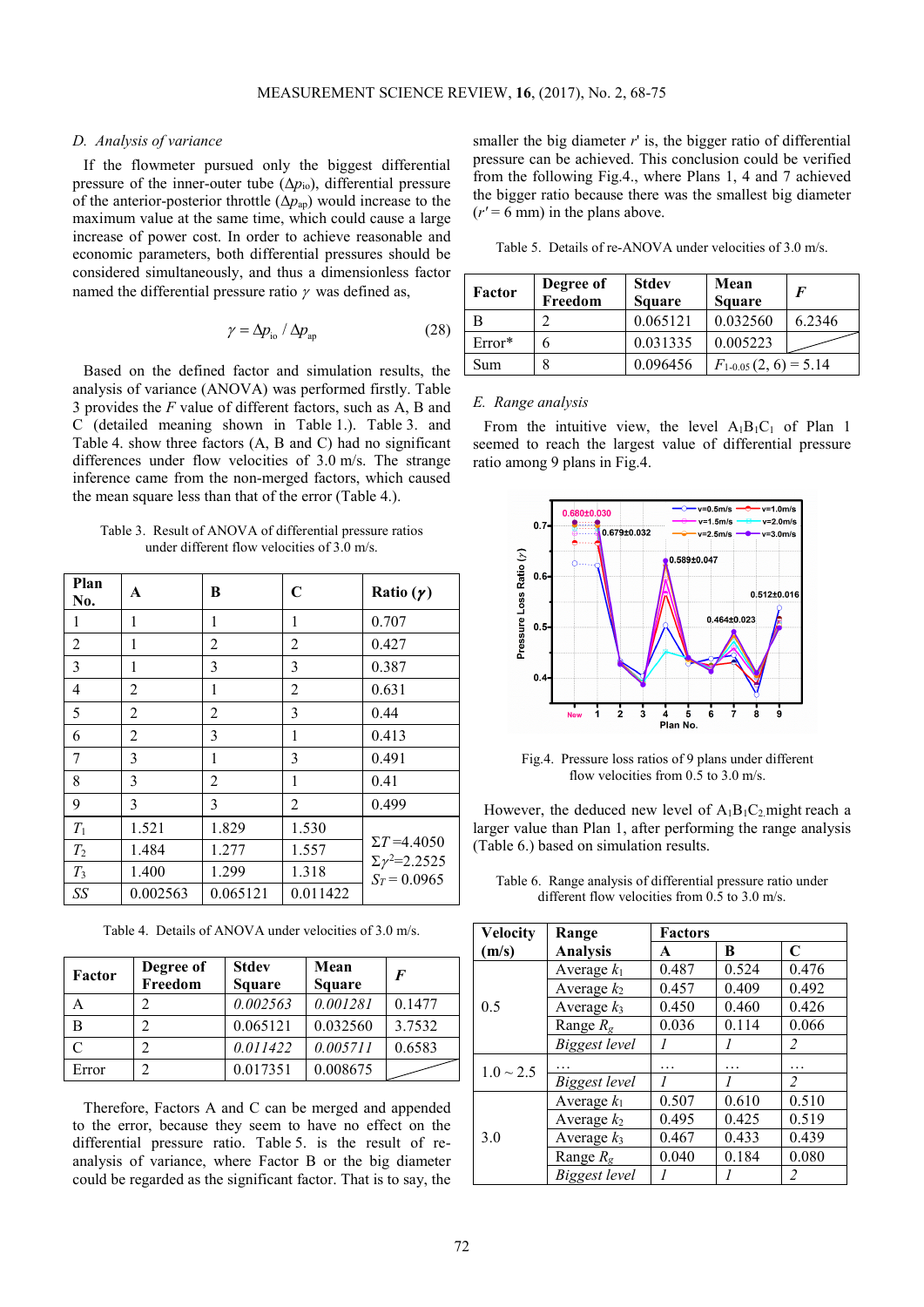## *D. Analysis of variance*

If the flowmeter pursued only the biggest differential pressure of the inner-outer tube  $(\Delta p_{io})$ , differential pressure of the anterior-posterior throttle  $(\Delta p_{ap})$  would increase to the maximum value at the same time, which could cause a large increase of power cost. In order to achieve reasonable and economic parameters, both differential pressures should be considered simultaneously, and thus a dimensionless factor named the differential pressure ratio  $\gamma$  was defined as,

$$
\gamma = \Delta p_{\rm io} / \Delta p_{\rm ap} \tag{28}
$$

Based on the defined factor and simulation results, the analysis of variance (ANOVA) was performed firstly. Table 3 provides the *F* value of different factors, such as A, B and C (detailed meaning shown in Table 1.). Table 3. and Table 4. show three factors (A, B and C) had no significant differences under flow velocities of 3.0 m/s. The strange inference came from the non-merged factors, which caused the mean square less than that of the error (Table 4.).

Table 3. Result of ANOVA of differential pressure ratios under different flow velocities of 3.0 m/s.

| Plan<br>No.    | A              | B        | $\mathbf C$    | Ratio $(\gamma)$                             |
|----------------|----------------|----------|----------------|----------------------------------------------|
| 1              | 1              | 1        | 1              | 0.707                                        |
| $\overline{2}$ | 1              | 2        | $\overline{2}$ | 0.427                                        |
| 3              | 1              | 3        | 3              | 0.387                                        |
| 4              | 2              | 1        | 2              | 0.631                                        |
| 5              | 2              | 2        | 3              | 0.44                                         |
| 6              | $\overline{2}$ | 3        | 1              | 0.413                                        |
| 7              | 3              | 1        | 3              | 0.491                                        |
| 8              | 3              | 2        | 1              | 0.41                                         |
| 9              | 3              | 3        | $\overline{2}$ | 0.499                                        |
| $T_1$          | 1.521          | 1.829    | 1.530          |                                              |
| $T_2$          | 1.484          | 1.277    | 1.557          | $\Sigma T = 4.4050$                          |
| $T_3$          | 1.400          | 1.299    | 1.318          | $\Sigma \gamma^2 = 2.2525$<br>$S_T = 0.0965$ |
| SS             | 0.002563       | 0.065121 | 0.011422       |                                              |

Table 4. Details of ANOVA under velocities of 3.0 m/s.

| Factor | Degree of<br>Freedom | <b>Stdev</b><br><b>Square</b> | Mean<br>Square | $\bm{F}$ |
|--------|----------------------|-------------------------------|----------------|----------|
| А      |                      | 0.002563                      | 0.001281       | 0.1477   |
| В      |                      | 0.065121                      | 0.032560       | 3.7532   |
| C      |                      | 0.011422                      | 0.005711       | 0.6583   |
| Error  |                      | 0.017351                      | 0.008675       |          |

Therefore, Factors A and C can be merged and appended to the error, because they seem to have no effect on the differential pressure ratio. Table 5. is the result of reanalysis of variance, where Factor B or the big diameter could be regarded as the significant factor. That is to say, the smaller the big diameter  $r'$  is, the bigger ratio of differential pressure can be achieved. This conclusion could be verified from the following Fig.4., where Plans 1, 4 and 7 achieved the bigger ratio because there was the smallest big diameter  $(r' = 6$  mm) in the plans above.

|  |  | Table 5. Details of re-ANOVA under velocities of 3.0 m/s. |  |  |  |
|--|--|-----------------------------------------------------------|--|--|--|
|--|--|-----------------------------------------------------------|--|--|--|

| Factor   | Degree of<br>Freedom | <b>Stdev</b><br><b>Square</b> | Mean<br><b>Square</b>     | $\bm{F}$ |
|----------|----------------------|-------------------------------|---------------------------|----------|
|          |                      | 0.065121                      | 0.032560                  | 6.2346   |
| $Error*$ |                      | 0.031335                      | 0.005223                  |          |
| Sum      |                      | 0.096456                      | $F_{1-0.05}(2, 6) = 5.14$ |          |

## *E. Range analysis*

From the intuitive view, the level  $A_1B_1C_1$  of Plan 1 seemed to reach the largest value of differential pressure ratio among 9 plans in Fig.4.



Fig.4. Pressure loss ratios of 9 plans under different flow velocities from  $0.\overline{5}$  to  $3.0$  m/s.

However, the deduced new level of  $A_1B_1C_2$  might reach a larger value than Plan 1, after performing the range analysis (Table 6.) based on simulation results.

Table 6. Range analysis of differential pressure ratio under different flow velocities from 0.5 to 3.0 m/s.

| <b>Velocity</b> | Range             |       | <b>Factors</b> |                |  |
|-----------------|-------------------|-------|----------------|----------------|--|
| (m/s)           | <b>Analysis</b>   | A     | В              | $\mathbf C$    |  |
|                 | Average $k_1$     | 0.487 | 0.524          | 0.476          |  |
|                 | Average $k_2$     | 0.457 | 0.409          | 0.492          |  |
| 0.5             | Average $k_3$     | 0.450 | 0.460          | 0.426          |  |
|                 | Range $R_{\rm g}$ | 0.036 | 0.114          | 0.066          |  |
|                 | Biggest level     |       |                | $\overline{2}$ |  |
| $1.0 \sim 2.5$  |                   | .     | .              | .              |  |
|                 | Biggest level     |       |                | $\overline{c}$ |  |
|                 | Average $k_1$     | 0.507 | 0.610          | 0.510          |  |
|                 | Average $k_2$     | 0.495 | 0.425          | 0.519          |  |
| 3.0             | Average $k_3$     | 0.467 | 0.433          | 0.439          |  |
|                 | Range $R_g$       | 0.040 | 0.184          | 0.080          |  |
|                 | Biggest level     |       |                | $\overline{2}$ |  |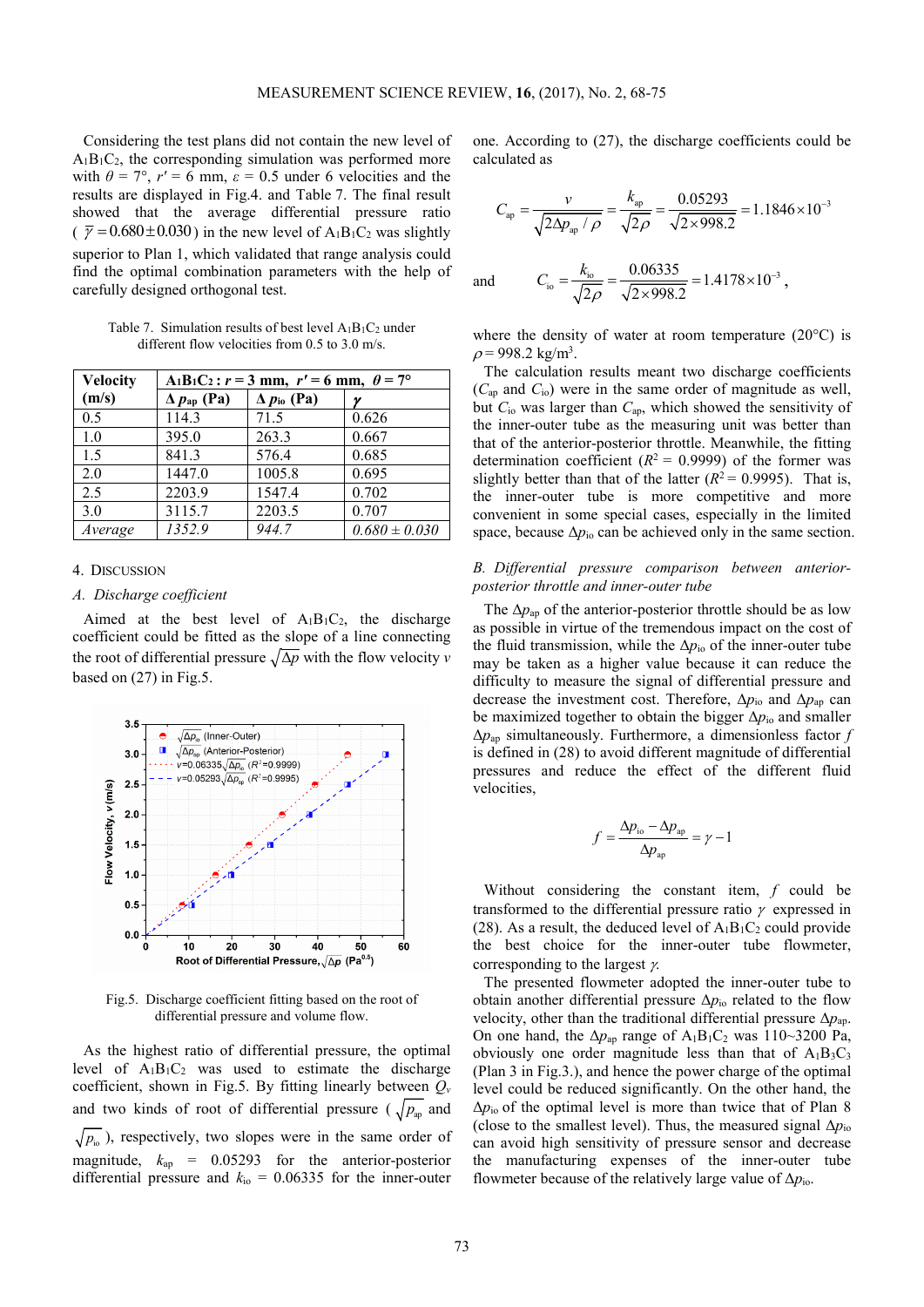Considering the test plans did not contain the new level of  $A_1B_1C_2$ , the corresponding simulation was performed more with  $\theta = 7^{\circ}$ ,  $r' = 6$  mm,  $\varepsilon = 0.5$  under 6 velocities and the results are displayed in Fig.4. and Table 7. The final result showed that the average differential pressure ratio  $\sqrt{\gamma}$  = 0.680 ± 0.030) in the new level of A<sub>1</sub>B<sub>1</sub>C<sub>2</sub> was slightly superior to Plan 1, which validated that range analysis could find the optimal combination parameters with the help of carefully designed orthogonal test.

Table 7. Simulation results of best level  $A_1B_1C_2$  under different flow velocities from 0.5 to 3.0 m/s.

| <b>Velocity</b> | A <sub>1</sub> B <sub>1</sub> C <sub>2</sub> : $r = 3$ mm, $r' = 6$ mm, $\theta = 7^{\circ}$ |                             |                   |  |
|-----------------|----------------------------------------------------------------------------------------------|-----------------------------|-------------------|--|
| (m/s)           | $\Delta p_{ap}$ (Pa)                                                                         | $\Delta p_{\text{io}}$ (Pa) |                   |  |
| 0.5             | 114.3                                                                                        | 71.5                        | 0.626             |  |
| 1.0             | 395.0                                                                                        | 263.3                       | 0.667             |  |
| 1.5             | 841.3                                                                                        | 576.4                       | 0.685             |  |
| 2.0             | 1447.0                                                                                       | 1005.8                      | 0.695             |  |
| 2.5             | 2203.9                                                                                       | 1547.4                      | 0.702             |  |
| 3.0             | 3115.7                                                                                       | 2203.5                      | 0.707             |  |
| Average         | 1352.9                                                                                       | 944.7                       | $0.680 \pm 0.030$ |  |

## 4. DISCUSSION

#### *A. Discharge coefficient*

Aimed at the best level of  $A_1B_1C_2$ , the discharge coefficient could be fitted as the slope of a line connecting the root of differential pressure  $\sqrt{\Delta p}$  with the flow velocity *v* based on (27) in Fig.5.



Fig.5. Discharge coefficient fitting based on the root of differential pressure and volume flow.

As the highest ratio of differential pressure, the optimal level of  $A_1B_1C_2$  was used to estimate the discharge coefficient, shown in Fig.5. By fitting linearly between *Q<sup>v</sup>* and two kinds of root of differential pressure ( $\sqrt{p_{\text{av}}}$  and  $\sqrt{p_{i_{\text{O}}}}$ ), respectively, two slopes were in the same order of magnitude, *k*ap = 0.05293 for the anterior-posterior differential pressure and  $k_{\text{io}} = 0.06335$  for the inner-outer

one. According to (27), the discharge coefficients could be calculated as

$$
C_{\text{ap}} = \frac{v}{\sqrt{2\Delta p_{\text{ap}} / \rho}} = \frac{k_{\text{ap}}}{\sqrt{2\rho}} = \frac{0.05293}{\sqrt{2 \times 998.2}} = 1.1846 \times 10^{-3}
$$

and 
$$
C_{\text{io}} = \frac{k_{\text{io}}}{\sqrt{2\rho}} = \frac{0.06335}{\sqrt{2 \times 998.2}} = 1.4178 \times 10^{-3}
$$
,

where the density of water at room temperature (20°C) is  $\rho$  = 998.2 kg/m<sup>3</sup>.

The calculation results meant two discharge coefficients (*C*ap and *C*io) were in the same order of magnitude as well, but  $C_{\text{io}}$  was larger than  $C_{\text{ap}}$ , which showed the sensitivity of the inner-outer tube as the measuring unit was better than that of the anterior-posterior throttle. Meanwhile, the fitting determination coefficient  $(R^2 = 0.9999)$  of the former was slightly better than that of the latter  $(R^2 = 0.9995)$ . That is, the inner-outer tube is more competitive and more convenient in some special cases, especially in the limited space, because  $\Delta p_{io}$  can be achieved only in the same section.

## *B. Differential pressure comparison between anteriorposterior throttle and inner-outer tube*

The  $\Delta p_{ap}$  of the anterior-posterior throttle should be as low as possible in virtue of the tremendous impact on the cost of the fluid transmission, while the  $\Delta p_{\text{io}}$  of the inner-outer tube may be taken as a higher value because it can reduce the difficulty to measure the signal of differential pressure and decrease the investment cost. Therefore, Δ*p*io and Δ*p*ap can be maximized together to obtain the bigger  $\Delta p_{\text{io}}$  and smaller Δ*p*ap simultaneously. Furthermore, a dimensionless factor *f*  is defined in (28) to avoid different magnitude of differential pressures and reduce the effect of the different fluid velocities,

$$
f = \frac{\Delta p_{\text{io}} - \Delta p_{\text{ap}}}{\Delta p_{\text{ap}}} = \gamma - 1
$$

Without considering the constant item, *f* could be transformed to the differential pressure ratio  $\gamma$  expressed in (28). As a result, the deduced level of  $A_1B_1C_2$  could provide the best choice for the inner-outer tube flowmeter, corresponding to the largest  $\gamma$ .

The presented flowmeter adopted the inner-outer tube to obtain another differential pressure  $\Delta p_{\rm io}$  related to the flow velocity, other than the traditional differential pressure  $\Delta p_{\text{an}}$ . On one hand, the  $\Delta p_{ap}$  range of  $A_1B_1C_2$  was 110~3200 Pa, obviously one order magnitude less than that of  $A_1B_3C_3$ (Plan 3 in Fig.3.), and hence the power charge of the optimal level could be reduced significantly. On the other hand, the  $\Delta p_{\rm io}$  of the optimal level is more than twice that of Plan 8 (close to the smallest level). Thus, the measured signal  $\Delta p_{\text{io}}$ can avoid high sensitivity of pressure sensor and decrease the manufacturing expenses of the inner-outer tube flowmeter because of the relatively large value of Δ*p*io.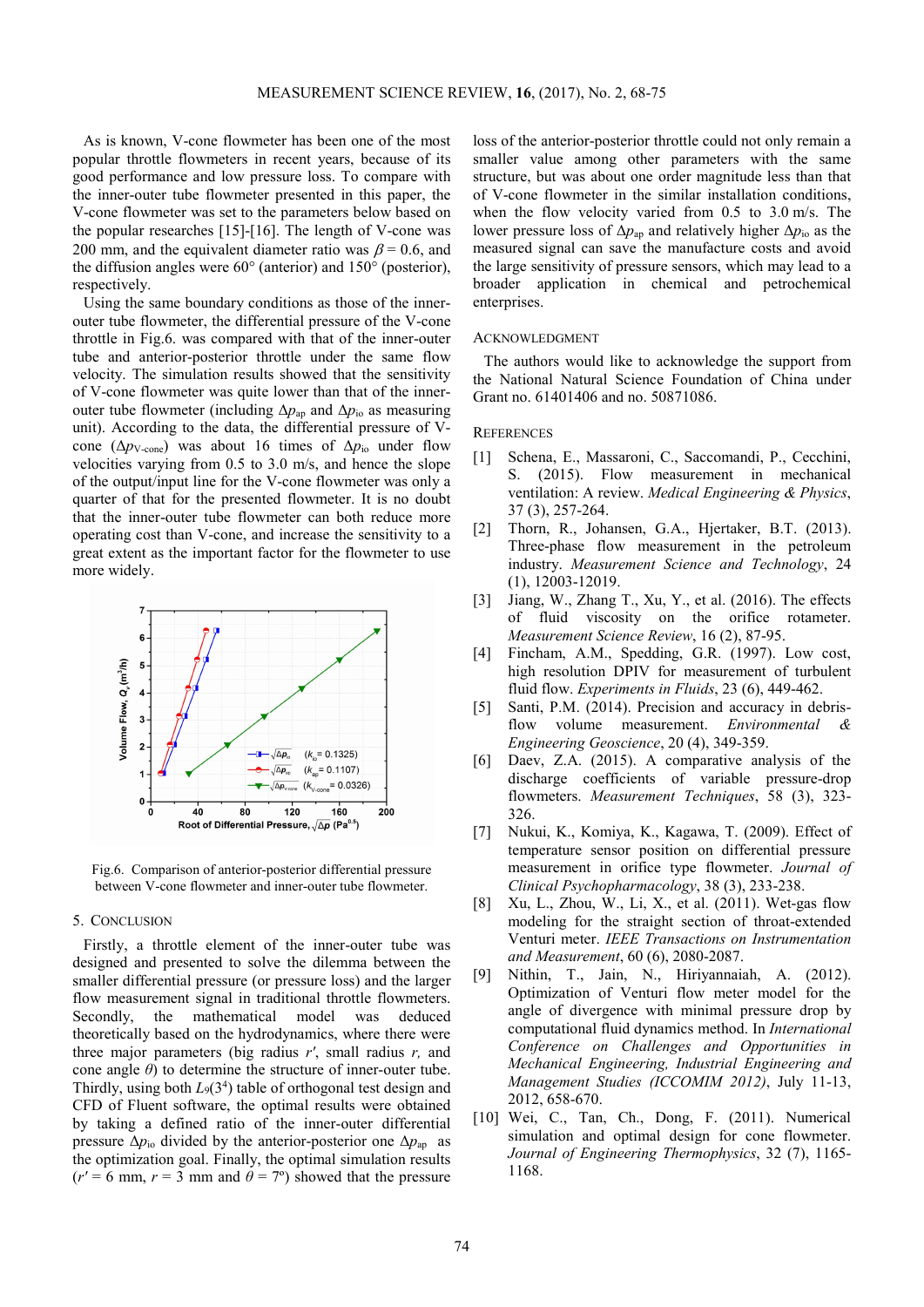As is known, V-cone flowmeter has been one of the most popular throttle flowmeters in recent years, because of its good performance and low pressure loss. To compare with the inner-outer tube flowmeter presented in this paper, the V-cone flowmeter was set to the parameters below based on the popular researches [15]-[16]. The length of V-cone was 200 mm, and the equivalent diameter ratio was  $\beta$  = 0.6, and the diffusion angles were 60° (anterior) and 150° (posterior), respectively.

Using the same boundary conditions as those of the innerouter tube flowmeter, the differential pressure of the V-cone throttle in Fig.6. was compared with that of the inner-outer tube and anterior-posterior throttle under the same flow velocity. The simulation results showed that the sensitivity of V-cone flowmeter was quite lower than that of the innerouter tube flowmeter (including  $\Delta p_{ap}$  and  $\Delta p_{io}$  as measuring unit). According to the data, the differential pressure of Vcone (Δ*p*V-cone) was about 16 times of Δ*p*io under flow velocities varying from 0.5 to 3.0 m/s, and hence the slope of the output/input line for the V-cone flowmeter was only a quarter of that for the presented flowmeter. It is no doubt that the inner-outer tube flowmeter can both reduce more operating cost than V-cone, and increase the sensitivity to a great extent as the important factor for the flowmeter to use more widely.



Fig.6. Comparison of anterior-posterior differential pressure between V-cone flowmeter and inner-outer tube flowmeter.

## 5. CONCLUSION

Firstly, a throttle element of the inner-outer tube was designed and presented to solve the dilemma between the smaller differential pressure (or pressure loss) and the larger flow measurement signal in traditional throttle flowmeters. Secondly, the mathematical model was deduced theoretically based on the hydrodynamics, where there were three major parameters (big radius *r'*, small radius *r,* and cone angle *θ*) to determine the structure of inner-outer tube. Thirdly, using both  $L_9(3^4)$  table of orthogonal test design and CFD of Fluent software, the optimal results were obtained by taking a defined ratio of the inner-outer differential pressure  $\Delta p_{\text{io}}$  divided by the anterior-posterior one  $\Delta p_{\text{ap}}$  as the optimization goal. Finally, the optimal simulation results  $(r' = 6$  mm,  $r = 3$  mm and  $\theta = 7^{\circ}$ ) showed that the pressure

loss of the anterior-posterior throttle could not only remain a smaller value among other parameters with the same structure, but was about one order magnitude less than that of V-cone flowmeter in the similar installation conditions, when the flow velocity varied from 0.5 to 3.0 m/s. The lower pressure loss of  $\Delta p_{\text{ap}}$  and relatively higher  $\Delta p_{\text{io}}$  as the measured signal can save the manufacture costs and avoid the large sensitivity of pressure sensors, which may lead to a broader application in chemical and petrochemical enterprises.

## ACKNOWLEDGMENT

The authors would like to acknowledge the support from the National Natural Science Foundation of China under Grant no. 61401406 and no. 50871086.

## **REFERENCES**

- [1] Schena, E., Massaroni, C., Saccomandi, P., Cecchini, S. (2015). Flow measurement in mechanical ventilation: A review. *Medical Engineering & Physics*, 37 (3), 257-264.
- [2] Thorn, R., Johansen, G.A., Hjertaker, B.T. (2013). Three-phase flow measurement in the petroleum industry. *Measurement Science and Technology*, 24 (1), 12003-12019.
- [3] Jiang, W., Zhang T., Xu, Y., et al. (2016). The effects of fluid viscosity on the orifice rotameter. *Measurement Science Review*, 16 (2), 87-95.
- [4] Fincham, A.M., Spedding, G.R. (1997). Low cost, high resolution DPIV for measurement of turbulent fluid flow. *Experiments in Fluids*, 23 (6), 449-462.
- [5] Santi, P.M. (2014). Precision and accuracy in debrisflow volume measurement. *Environmental & Engineering Geoscience*, 20 (4), 349-359.
- [6] Daev, Z.A. (2015). A comparative analysis of the discharge coefficients of variable pressure-drop flowmeters. *Measurement Techniques*, 58 (3), 323- 326.
- [7] Nukui, K., Komiya, K., Kagawa, T. (2009). Effect of temperature sensor position on differential pressure measurement in orifice type flowmeter. *Journal of Clinical Psychopharmacology*, 38 (3), 233-238.
- [8] Xu, L., Zhou, W., Li, X., et al. (2011). Wet-gas flow modeling for the straight section of throat-extended Venturi meter. *IEEE Transactions on Instrumentation and Measurement*, 60 (6), 2080-2087.
- [9] Nithin, T., Jain, N., Hiriyannaiah, A. (2012). Optimization of Venturi flow meter model for the angle of divergence with minimal pressure drop by computational fluid dynamics method. In *International Conference on Challenges and Opportunities in Mechanical Engineering, Industrial Engineering and Management Studies (ICCOMIM 2012)*, July 11-13, 2012, 658-670.
- [10] Wei, C., Tan, Ch., Dong, F. (2011). Numerical simulation and optimal design for cone flowmeter. *Journal of Engineering Thermophysics*, 32 (7), 1165- 1168.